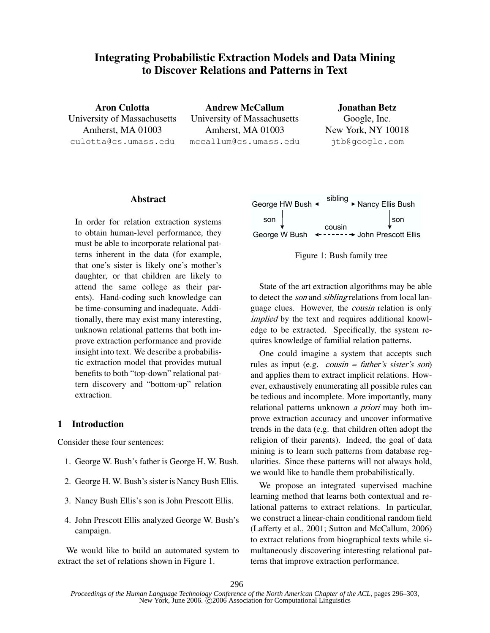# Integrating Probabilistic Extraction Models and Data Mining to Discover Relations and Patterns in Text

Aron Culotta University of Massachusetts Amherst, MA 01003 culotta@cs.umass.edu

Andrew McCallum University of Massachusetts Amherst, MA 01003 mccallum@cs.umass.edu

Jonathan Betz Google, Inc. New York, NY 10018 jtb@google.com

# Abstract

In order for relation extraction systems to obtain human-level performance, they must be able to incorporate relational patterns inherent in the data (for example, that one's sister is likely one's mother's daughter, or that children are likely to attend the same college as their parents). Hand-coding such knowledge can be time-consuming and inadequate. Additionally, there may exist many interesting, unknown relational patterns that both improve extraction performance and provide insight into text. We describe a probabilistic extraction model that provides mutual benefits to both "top-down" relational pattern discovery and "bottom-up" relation extraction.

### 1 Introduction

Consider these four sentences:

- 1. George W. Bush's father is George H. W. Bush.
- 2. George H. W. Bush's sister is Nancy Bush Ellis.
- 3. Nancy Bush Ellis's son is John Prescott Ellis.
- 4. John Prescott Ellis analyzed George W. Bush's campaign.

We would like to build an automated system to extract the set of relations shown in Figure 1.



### Figure 1: Bush family tree

State of the art extraction algorithms may be able to detect the *son* and *sibling* relations from local language clues. However, the cousin relation is only implied by the text and requires additional knowledge to be extracted. Specifically, the system requires knowledge of familial relation patterns.

One could imagine a system that accepts such rules as input (e.g.  $cousin = father's sister's son$ ) and applies them to extract implicit relations. However, exhaustively enumerating all possible rules can be tedious and incomplete. More importantly, many relational patterns unknown <sup>a</sup> priori may both improve extraction accuracy and uncover informative trends in the data (e.g. that children often adopt the religion of their parents). Indeed, the goal of data mining is to learn such patterns from database regularities. Since these patterns will not always hold, we would like to handle them probabilistically.

We propose an integrated supervised machine learning method that learns both contextual and relational patterns to extract relations. In particular, we construct a linear-chain conditional random field (Lafferty et al., 2001; Sutton and McCallum, 2006) to extract relations from biographical texts while simultaneously discovering interesting relational patterns that improve extraction performance.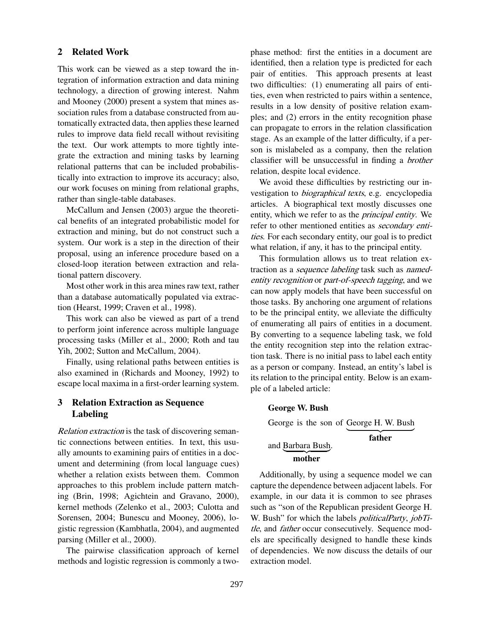# 2 Related Work

This work can be viewed as a step toward the integration of information extraction and data mining technology, a direction of growing interest. Nahm and Mooney (2000) present a system that mines association rules from a database constructed from automatically extracted data, then applies these learned rules to improve data field recall without revisiting the text. Our work attempts to more tightly integrate the extraction and mining tasks by learning relational patterns that can be included probabilistically into extraction to improve its accuracy; also, our work focuses on mining from relational graphs, rather than single-table databases.

McCallum and Jensen (2003) argue the theoretical benefits of an integrated probabilistic model for extraction and mining, but do not construct such a system. Our work is a step in the direction of their proposal, using an inference procedure based on a closed-loop iteration between extraction and relational pattern discovery.

Most other work in this area mines raw text, rather than a database automatically populated via extraction (Hearst, 1999; Craven et al., 1998).

This work can also be viewed as part of a trend to perform joint inference across multiple language processing tasks (Miller et al., 2000; Roth and tau Yih, 2002; Sutton and McCallum, 2004).

Finally, using relational paths between entities is also examined in (Richards and Mooney, 1992) to escape local maxima in a first-order learning system.

# 3 Relation Extraction as Sequence Labeling

Relation extraction is the task of discovering semantic connections between entities. In text, this usually amounts to examining pairs of entities in a document and determining (from local language cues) whether a relation exists between them. Common approaches to this problem include pattern matching (Brin, 1998; Agichtein and Gravano, 2000), kernel methods (Zelenko et al., 2003; Culotta and Sorensen, 2004; Bunescu and Mooney, 2006), logistic regression (Kambhatla, 2004), and augmented parsing (Miller et al., 2000).

The pairwise classification approach of kernel methods and logistic regression is commonly a twophase method: first the entities in a document are identified, then a relation type is predicted for each pair of entities. This approach presents at least two difficulties: (1) enumerating all pairs of entities, even when restricted to pairs within a sentence, results in a low density of positive relation examples; and (2) errors in the entity recognition phase can propagate to errors in the relation classification stage. As an example of the latter difficulty, if a person is mislabeled as a company, then the relation classifier will be unsuccessful in finding a brother relation, despite local evidence.

We avoid these difficulties by restricting our investigation to biographical texts, e.g. encyclopedia articles. A biographical text mostly discusses one entity, which we refer to as the principal entity. We refer to other mentioned entities as secondary entities. For each secondary entity, our goal is to predict what relation, if any, it has to the principal entity.

This formulation allows us to treat relation extraction as a *sequence labeling* task such as *named*entity recognition or part-of-speech tagging, and we can now apply models that have been successful on those tasks. By anchoring one argument of relations to be the principal entity, we alleviate the difficulty of enumerating all pairs of entities in a document. By converting to a sequence labeling task, we fold the entity recognition step into the relation extraction task. There is no initial pass to label each entity as a person or company. Instead, an entity's label is its relation to the principal entity. Below is an example of a labeled article:

# George W. Bush

George is the son of George H. W. Bush

father

# and Barbara Bush . | mother

Additionally, by using a sequence model we can capture the dependence between adjacent labels. For example, in our data it is common to see phrases such as "son of the Republican president George H. W. Bush" for which the labels *politicalParty*, *jobTi*tle, and father occur consecutively. Sequence models are specifically designed to handle these kinds of dependencies. We now discuss the details of our extraction model.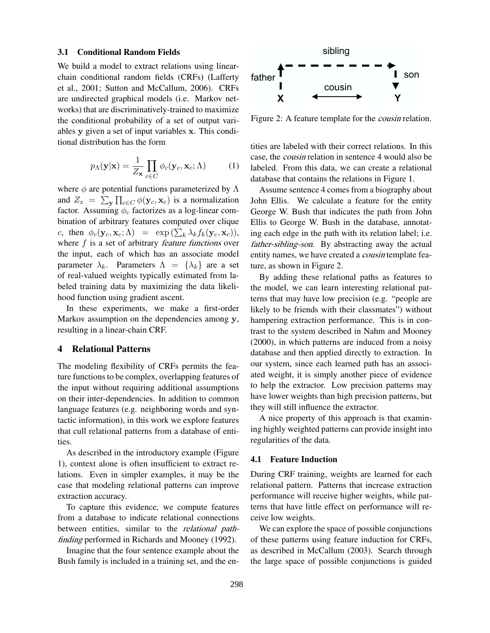#### 3.1 Conditional Random Fields

We build a model to extract relations using linearchain conditional random fields (CRFs) (Lafferty et al., 2001; Sutton and McCallum, 2006). CRFs are undirected graphical models (i.e. Markov networks) that are discriminatively-trained to maximize the conditional probability of a set of output variables y given a set of input variables x. This conditional distribution has the form

$$
p_{\Lambda}(\mathbf{y}|\mathbf{x}) = \frac{1}{Z_{\mathbf{x}}} \prod_{c \in C} \phi_c(\mathbf{y}_c, \mathbf{x}_c; \Lambda)
$$
 (1)

where  $\phi$  are potential functions parameterized by  $\Lambda$ and  $Z_x = \sum_{\mathbf{y}} \prod_{c \in C} \phi(\mathbf{y}_c, \mathbf{x}_c)$  is a normalization factor. Assuming  $\phi_c$  factorizes as a log-linear combination of arbitrary features computed over clique c, then  $\phi_c(\mathbf{y}_c, \mathbf{x}_c; \Lambda) = \exp(\sum_k \lambda_k f_k(\mathbf{y}_c, \mathbf{x}_c)),$ where  $f$  is a set of arbitrary *feature functions* over the input, each of which has an associate model parameter  $\lambda_k$ . Parameters  $\Lambda = {\lambda_k}$  are a set of real-valued weights typically estimated from labeled training data by maximizing the data likelihood function using gradient ascent.

In these experiments, we make a first-order Markov assumption on the dependencies among y, resulting in a linear-chain CRF.

# 4 Relational Patterns

The modeling flexibility of CRFs permits the feature functions to be complex, overlapping features of the input without requiring additional assumptions on their inter-dependencies. In addition to common language features (e.g. neighboring words and syntactic information), in this work we explore features that cull relational patterns from a database of entities.

As described in the introductory example (Figure 1), context alone is often insufficient to extract relations. Even in simpler examples, it may be the case that modeling relational patterns can improve extraction accuracy.

To capture this evidence, we compute features from a database to indicate relational connections between entities, similar to the *relational path*finding performed in Richards and Mooney (1992).

Imagine that the four sentence example about the Bush family is included in a training set, and the en-



Figure 2: A feature template for the *cousin* relation.

tities are labeled with their correct relations. In this case, the cousin relation in sentence 4 would also be labeled. From this data, we can create a relational database that contains the relations in Figure 1.

Assume sentence 4 comes from a biography about John Ellis. We calculate a feature for the entity George W. Bush that indicates the path from John Ellis to George W. Bush in the database, annotating each edge in the path with its relation label; i.e. father-sibling-son. By abstracting away the actual entity names, we have created a *cousin* template feature, as shown in Figure 2.

By adding these relational paths as features to the model, we can learn interesting relational patterns that may have low precision (e.g. "people are likely to be friends with their classmates") without hampering extraction performance. This is in contrast to the system described in Nahm and Mooney (2000), in which patterns are induced from a noisy database and then applied directly to extraction. In our system, since each learned path has an associated weight, it is simply another piece of evidence to help the extractor. Low precision patterns may have lower weights than high precision patterns, but they will still influence the extractor.

A nice property of this approach is that examining highly weighted patterns can provide insight into regularities of the data.

#### 4.1 Feature Induction

During CRF training, weights are learned for each relational pattern. Patterns that increase extraction performance will receive higher weights, while patterns that have little effect on performance will receive low weights.

We can explore the space of possible conjunctions of these patterns using feature induction for CRFs, as described in McCallum (2003). Search through the large space of possible conjunctions is guided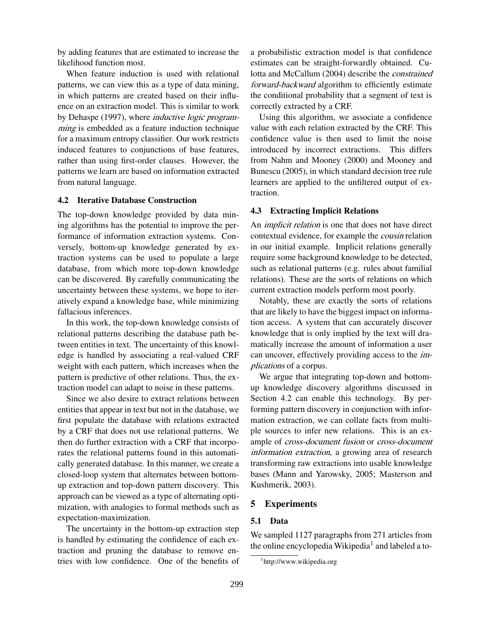by adding features that are estimated to increase the likelihood function most.

When feature induction is used with relational patterns, we can view this as a type of data mining, in which patterns are created based on their influence on an extraction model. This is similar to work by Dehaspe (1997), where inductive logic programming is embedded as a feature induction technique for a maximum entropy classifier. Our work restricts induced features to conjunctions of base features, rather than using first-order clauses. However, the patterns we learn are based on information extracted from natural language.

#### 4.2 Iterative Database Construction

The top-down knowledge provided by data mining algorithms has the potential to improve the performance of information extraction systems. Conversely, bottom-up knowledge generated by extraction systems can be used to populate a large database, from which more top-down knowledge can be discovered. By carefully communicating the uncertainty between these systems, we hope to iteratively expand a knowledge base, while minimizing fallacious inferences.

In this work, the top-down knowledge consists of relational patterns describing the database path between entities in text. The uncertainty of this knowledge is handled by associating a real-valued CRF weight with each pattern, which increases when the pattern is predictive of other relations. Thus, the extraction model can adapt to noise in these patterns.

Since we also desire to extract relations between entities that appear in text but not in the database, we first populate the database with relations extracted by a CRF that does not use relational patterns. We then do further extraction with a CRF that incorporates the relational patterns found in this automatically generated database. In this manner, we create a closed-loop system that alternates between bottomup extraction and top-down pattern discovery. This approach can be viewed as a type of alternating optimization, with analogies to formal methods such as expectation-maximization.

The uncertainty in the bottom-up extraction step is handled by estimating the confidence of each extraction and pruning the database to remove entries with low confidence. One of the benefits of a probabilistic extraction model is that confidence estimates can be straight-forwardly obtained. Culotta and McCallum (2004) describe the constrained forward-backward algorithm to efficiently estimate the conditional probability that a segment of text is correctly extracted by a CRF.

Using this algorithm, we associate a confidence value with each relation extracted by the CRF. This confidence value is then used to limit the noise introduced by incorrect extractions. This differs from Nahm and Mooney (2000) and Mooney and Bunescu (2005), in which standard decision tree rule learners are applied to the unfiltered output of extraction.

### 4.3 Extracting Implicit Relations

An implicit relation is one that does not have direct contextual evidence, for example the cousin relation in our initial example. Implicit relations generally require some background knowledge to be detected, such as relational patterns (e.g. rules about familial relations). These are the sorts of relations on which current extraction models perform most poorly.

Notably, these are exactly the sorts of relations that are likely to have the biggest impact on information access. A system that can accurately discover knowledge that is only implied by the text will dramatically increase the amount of information a user can uncover, effectively providing access to the implications of a corpus.

We argue that integrating top-down and bottomup knowledge discovery algorithms discussed in Section 4.2 can enable this technology. By performing pattern discovery in conjunction with information extraction, we can collate facts from multiple sources to infer new relations. This is an example of cross-document fusion or cross-document information extraction, a growing area of research transforming raw extractions into usable knowledge bases (Mann and Yarowsky, 2005; Masterson and Kushmerik, 2003).

#### 5 Experiments

### 5.1 Data

We sampled 1127 paragraphs from 271 articles from the online encyclopedia Wikipedia<sup>1</sup> and labeled a to-

<sup>1</sup> http://www.wikipedia.org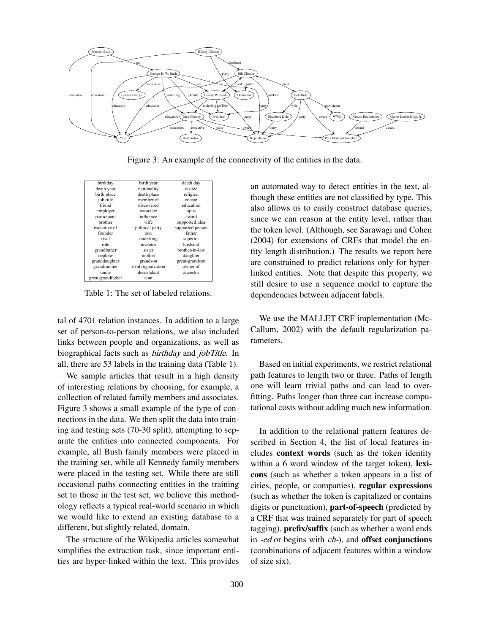

Figure 3: An example of the connectivity of the entities in the data.

| birthday    |                   | birth year         | death day        |  |
|-------------|-------------------|--------------------|------------------|--|
| death year  |                   | nationality        | visited          |  |
| birth place |                   | death place        | religion         |  |
| job title   |                   | member of          | cousin           |  |
| friend      |                   | discovered         | education        |  |
| employer    |                   | associate          | opus             |  |
| participant |                   | influence          | award            |  |
|             | brother           | wife               | supported idea   |  |
|             | executive of      | political party    | supported person |  |
|             | founder           | son                | father           |  |
|             | rival             | underling          | superior         |  |
|             | role              | inventor           | husband          |  |
|             | grandfather       | sister             | brother-in-law   |  |
|             | nephew            | mother             | daughter         |  |
|             | granddaughter     | grandson           | great-grandson   |  |
|             | grandmother       | rival organization | owner of         |  |
|             | uncle             | descendant         | ancestor         |  |
|             | great-grandfather | aunt               |                  |  |

Table 1: The set of labeled relations.

tal of 4701 relation instances. In addition to a large set of person-to-person relations, we also included links between people and organizations, as well as biographical facts such as *birthday* and *jobTitle*. In all, there are 53 labels in the training data (Table 1).

We sample articles that result in a high density of interesting relations by choosing, for example, a collection of related family members and associates. Figure 3 shows a small example of the type of connections in the data. We then split the data into training and testing sets (70-30 split), attempting to separate the entities into connected components. For example, all Bush family members were placed in the training set, while all Kennedy family members were placed in the testing set. While there are still occasional paths connecting entities in the training set to those in the test set, we believe this methodology reflects a typical real-world scenario in which we would like to extend an existing database to a different, but slightly related, domain.

The structure of the Wikipedia articles somewhat simplifies the extraction task, since important entities are hyper-linked within the text. This provides an automated way to detect entities in the text, although these entities are not classified by type. This also allows us to easily construct database queries, since we can reason at the entity level, rather than the token level. (Although, see Sarawagi and Cohen (2004) for extensions of CRFs that model the entity length distribution.) The results we report here are constrained to predict relations only for hyperlinked entities. Note that despite this property, we still desire to use a sequence model to capture the dependencies between adjacent labels.

We use the MALLET CRF implementation (Mc-Callum, 2002) with the default regularization parameters.

Based on initial experiments, we restrict relational path features to length two or three. Paths of length one will learn trivial paths and can lead to overfitting. Paths longer than three can increase computational costs without adding much new information.

In addition to the relational pattern features described in Section 4, the list of local features includes context words (such as the token identity within a 6 word window of the target token), lexicons (such as whether a token appears in a list of cities, people, or companies), regular expressions (such as whether the token is capitalized or contains digits or punctuation), part-of-speech (predicted by a CRF that was trained separately for part of speech tagging), prefix/suffix (such as whether a word ends in  $-e$ d or begins with  $ch$ -), and **offset conjunctions** (combinations of adjacent features within a window of size six).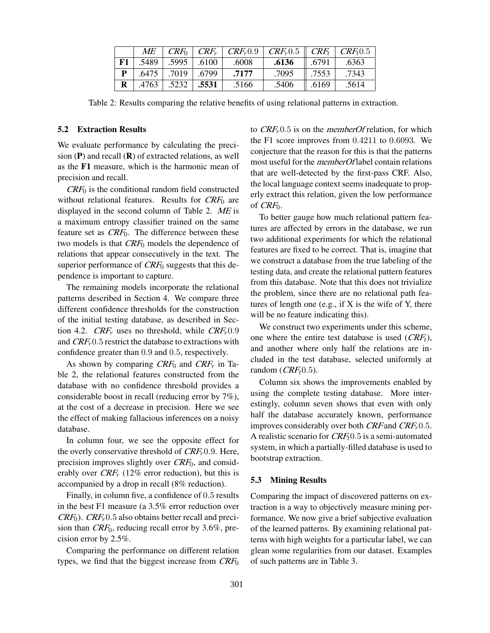|              |                                           |       | $ME \mid CRF_0 \mid CRF_r \mid CRF_r0.9 \mid CRF_r0.5 \parallel CRF_t \mid CRF_t0.5$ |                   |       |
|--------------|-------------------------------------------|-------|--------------------------------------------------------------------------------------|-------------------|-------|
| F1           | $\vert$ .5489 $\vert$ .5995 $\vert$ .6100 | .6008 | .6136                                                                                | $\parallel .6791$ | .6363 |
| P            | $.6475$   $.7019$   $.6799$               | .7177 | .7095                                                                                | $\parallel$ .7553 | .7343 |
| $\mathbf{R}$ | $\vert$ .4763 $\vert$ .5232 $\vert$ .5531 | .5166 | .5406                                                                                | $\parallel$ .6169 | .5614 |

Table 2: Results comparing the relative benefits of using relational patterns in extraction.

### 5.2 Extraction Results

We evaluate performance by calculating the precision  $(P)$  and recall  $(R)$  of extracted relations, as well as the F1 measure, which is the harmonic mean of precision and recall.

 $CRF<sub>0</sub>$  is the conditional random field constructed without relational features. Results for  $CRF<sub>0</sub>$  are displayed in the second column of Table 2. ME is a maximum entropy classifier trained on the same feature set as  $CRF_0$ . The difference between these two models is that  $CRF_0$  models the dependence of relations that appear consecutively in the text. The superior performance of  $CRF<sub>0</sub>$  suggests that this dependence is important to capture.

The remaining models incorporate the relational patterns described in Section 4. We compare three different confidence thresholds for the construction of the initial testing database, as described in Section 4.2.  $CRF_r$  uses no threshold, while  $CRF_r0.9$ and  $CRF<sub>r</sub>0.5$  restrict the database to extractions with confidence greater than 0.9 and 0.5, respectively.

As shown by comparing  $CRF_0$  and  $CRF_r$  in Table 2, the relational features constructed from the database with no confidence threshold provides a considerable boost in recall (reducing error by 7%), at the cost of a decrease in precision. Here we see the effect of making fallacious inferences on a noisy database.

In column four, we see the opposite effect for the overly conservative threshold of  $CRF<sub>r</sub>0.9$ . Here, precision improves slightly over  $CRF_0$ , and considerably over  $CRF_r$  (12% error reduction), but this is accompanied by a drop in recall (8% reduction).

Finally, in column five, a confidence of 0.5 results in the best F1 measure (a 3.5% error reduction over  $CRF_0$ ).  $CRF_r0.5$  also obtains better recall and precision than  $CRF_0$ , reducing recall error by 3.6%, precision error by 2.5%.

Comparing the performance on different relation types, we find that the biggest increase from  $CRF_0$ 

to  $CRF<sub>r</sub>0.5$  is on the *memberOf* relation, for which the F1 score improves from 0.4211 to 0.6093. We conjecture that the reason for this is that the patterns most useful for the memberOf label contain relations that are well-detected by the first-pass CRF. Also, the local language context seems inadequate to properly extract this relation, given the low performance of  $CRF<sub>0</sub>$ .

To better gauge how much relational pattern features are affected by errors in the database, we run two additional experiments for which the relational features are fixed to be correct. That is, imagine that we construct a database from the true labeling of the testing data, and create the relational pattern features from this database. Note that this does not trivialize the problem, since there are no relational path features of length one (e.g., if  $X$  is the wife of  $Y$ , there will be no feature indicating this).

We construct two experiments under this scheme, one where the entire test database is used  $(CRF<sub>t</sub>)$ , and another where only half the relations are included in the test database, selected uniformly at random ( $CRF_t(0.5)$ ).

Column six shows the improvements enabled by using the complete testing database. More interestingly, column seven shows that even with only half the database accurately known, performance improves considerably over both CRF and CRF<sub>r</sub> $0.5$ . A realistic scenario for  $CRF_t0.5$  is a semi-automated system, in which a partially-filled database is used to bootstrap extraction.

### 5.3 Mining Results

Comparing the impact of discovered patterns on extraction is a way to objectively measure mining performance. We now give a brief subjective evaluation of the learned patterns. By examining relational patterns with high weights for a particular label, we can glean some regularities from our dataset. Examples of such patterns are in Table 3.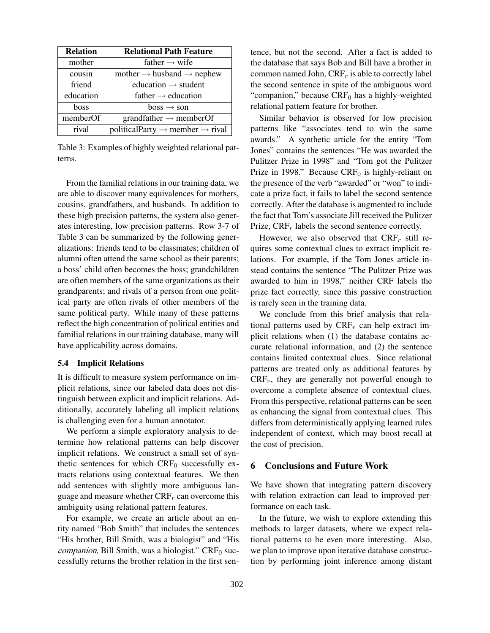| <b>Relation</b> | <b>Relational Path Feature</b>                         |
|-----------------|--------------------------------------------------------|
| mother          | father $\rightarrow$ wife                              |
| cousin          | mother $\rightarrow$ husband $\rightarrow$ nephew      |
| friend          | education $\rightarrow$ student                        |
| education       | father $\rightarrow$ education                         |
| boss            | $boss \rightarrow son$                                 |
| memberOf        | grandfather $\rightarrow$ memberOf                     |
| rival           | $political Party \rightarrow member \rightarrow rival$ |

Table 3: Examples of highly weighted relational patterns.

From the familial relations in our training data, we are able to discover many equivalences for mothers, cousins, grandfathers, and husbands. In addition to these high precision patterns, the system also generates interesting, low precision patterns. Row 3-7 of Table 3 can be summarized by the following generalizations: friends tend to be classmates; children of alumni often attend the same school as their parents; a boss' child often becomes the boss; grandchildren are often members of the same organizations as their grandparents; and rivals of a person from one political party are often rivals of other members of the same political party. While many of these patterns reflect the high concentration of political entities and familial relations in our training database, many will have applicability across domains.

#### 5.4 Implicit Relations

It is difficult to measure system performance on implicit relations, since our labeled data does not distinguish between explicit and implicit relations. Additionally, accurately labeling all implicit relations is challenging even for a human annotator.

We perform a simple exploratory analysis to determine how relational patterns can help discover implicit relations. We construct a small set of synthetic sentences for which  $CRF_0$  successfully extracts relations using contextual features. We then add sentences with slightly more ambiguous language and measure whether  $CRF_r$  can overcome this ambiguity using relational pattern features.

For example, we create an article about an entity named "Bob Smith" that includes the sentences "His brother, Bill Smith, was a biologist" and "His  $companion$ , Bill Smith, was a biologist."  $CRF<sub>0</sub>$  successfully returns the brother relation in the first sentence, but not the second. After a fact is added to the database that says Bob and Bill have a brother in common named John,  $CRF<sub>r</sub>$  is able to correctly label the second sentence in spite of the ambiguous word "companion," because  $CRF_0$  has a highly-weighted relational pattern feature for brother.

Similar behavior is observed for low precision patterns like "associates tend to win the same awards." A synthetic article for the entity "Tom Jones" contains the sentences "He was awarded the Pulitzer Prize in 1998" and "Tom got the Pulitzer Prize in 1998." Because  $CRF_0$  is highly-reliant on the presence of the verb "awarded" or "won" to indicate a prize fact, it fails to label the second sentence correctly. After the database is augmented to include the fact that Tom's associate Jill received the Pulitzer Prize,  $CRF_r$  labels the second sentence correctly.

However, we also observed that  $CRF<sub>r</sub>$  still requires some contextual clues to extract implicit relations. For example, if the Tom Jones article instead contains the sentence "The Pulitzer Prize was awarded to him in 1998," neither CRF labels the prize fact correctly, since this passive construction is rarely seen in the training data.

We conclude from this brief analysis that relational patterns used by  $CRF_r$  can help extract implicit relations when (1) the database contains accurate relational information, and (2) the sentence contains limited contextual clues. Since relational patterns are treated only as additional features by  $CRF_r$ , they are generally not powerful enough to overcome a complete absence of contextual clues. From this perspective, relational patterns can be seen as enhancing the signal from contextual clues. This differs from deterministically applying learned rules independent of context, which may boost recall at the cost of precision.

# 6 Conclusions and Future Work

We have shown that integrating pattern discovery with relation extraction can lead to improved performance on each task.

In the future, we wish to explore extending this methods to larger datasets, where we expect relational patterns to be even more interesting. Also, we plan to improve upon iterative database construction by performing joint inference among distant